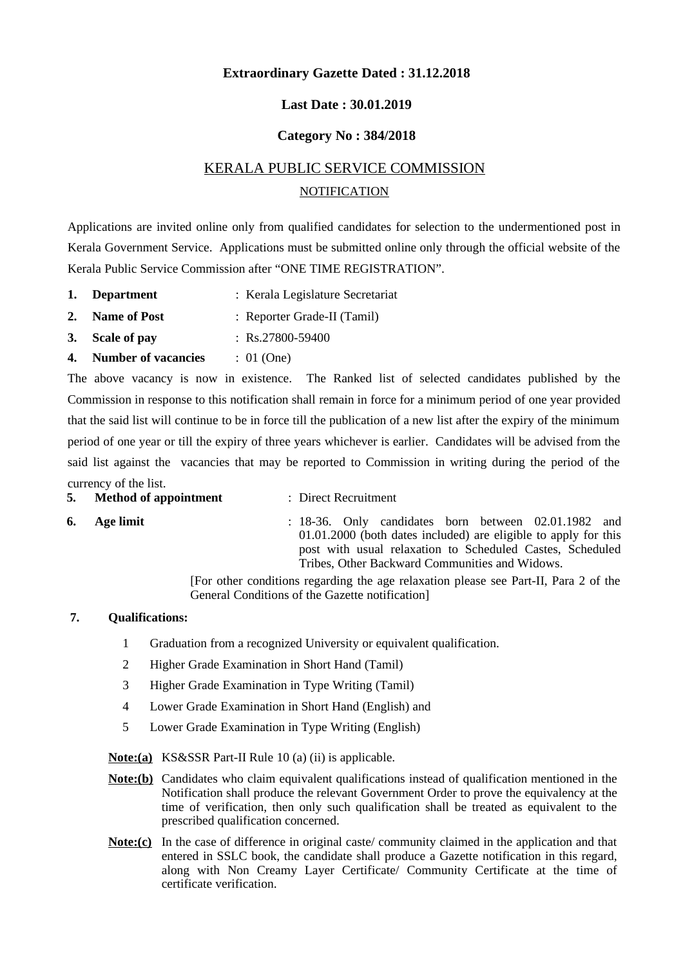# **Extraordinary Gazette Dated : 31.12.2018**

## **Last Date : 30.01.2019**

### **Category No : 384/2018**

# KERALA PUBLIC SERVICE COMMISSION NOTIFICATION

Applications are invited online only from qualified candidates for selection to the undermentioned post in Kerala Government Service. Applications must be submitted online only through the official website of the Kerala Public Service Commission after "ONE TIME REGISTRATION".

- **1. Department** : Kerala Legislature Secretariat
- **2. Name of Post** : Reporter Grade-II (Tamil)
- **3. Scale of pay** : Rs.27800-59400
- **4. Number of vacancies** : 01 (One)

The above vacancy is now in existence. The Ranked list of selected candidates published by the Commission in response to this notification shall remain in force for a minimum period of one year provided that the said list will continue to be in force till the publication of a new list after the expiry of the minimum period of one year or till the expiry of three years whichever is earlier. Candidates will be advised from the said list against the vacancies that may be reported to Commission in writing during the period of the currency of the list.

- **5. Method of appointment** : Direct Recruitment
- 
- **6. Age limit** : 18-36. Only candidates born between 02.01.1982 and 01.01.2000 (both dates included) are eligible to apply for this post with usual relaxation to Scheduled Castes, Scheduled Tribes, Other Backward Communities and Widows.

[For other conditions regarding the age relaxation please see Part-II, Para 2 of the General Conditions of the Gazette notification]

### **7. Qualifications:**

- 1 Graduation from a recognized University or equivalent qualification.
- 2 Higher Grade Examination in Short Hand (Tamil)
- 3 Higher Grade Examination in Type Writing (Tamil)
- 4 Lower Grade Examination in Short Hand (English) and
- 5 Lower Grade Examination in Type Writing (English)

**Note:(a)** KS&SSR Part-II Rule 10 (a) (ii) is applicable.

- **Note:(b)** Candidates who claim equivalent qualifications instead of qualification mentioned in the Notification shall produce the relevant Government Order to prove the equivalency at the time of verification, then only such qualification shall be treated as equivalent to the prescribed qualification concerned.
- **Note:(c)** In the case of difference in original caste/ community claimed in the application and that entered in SSLC book, the candidate shall produce a Gazette notification in this regard, along with Non Creamy Layer Certificate/ Community Certificate at the time of certificate verification.